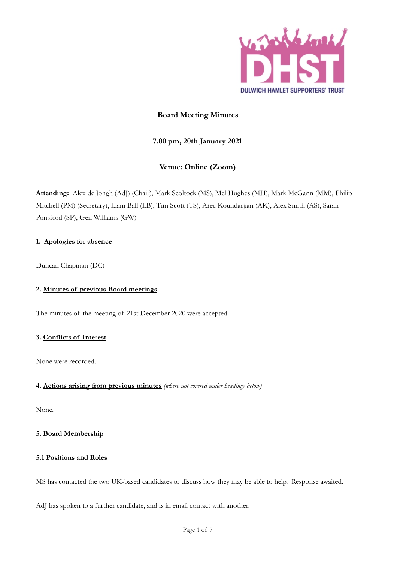

# **Board Meeting Minutes**

# **7.00 pm, 20th January 2021**

# **Venue: Online (Zoom)**

**Attending:** Alex de Jongh (AdJ) (Chair), Mark Scoltock (MS), Mel Hughes (MH), Mark McGann (MM), Philip Mitchell (PM) (Secretary), Liam Ball (LB), Tim Scott (TS), Arec Koundarjian (AK), Alex Smith (AS), Sarah Ponsford (SP), Gen Williams (GW)

### **1. Apologies for absence**

Duncan Chapman (DC)

# **2. Minutes of previous Board meetings**

The minutes of the meeting of 21st December 2020 were accepted.

### **3. Conflicts of Interest**

None were recorded.

### **4. Actions arising from previous minutes** *(where not covered under headings below)*

None.

### **5. Board Membership**

### **5.1 Positions and Roles**

MS has contacted the two UK-based candidates to discuss how they may be able to help. Response awaited.

AdJ has spoken to a further candidate, and is in email contact with another.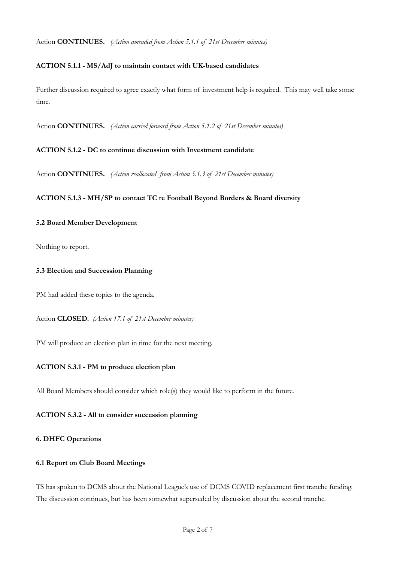Action **CONTINUES.** *(Action amended from Action 5.1.1 of 21st December minutes)*

### **ACTION 5.1.1 - MS/AdJ to maintain contact with UK-based candidates**

Further discussion required to agree exactly what form of investment help is required. This may well take some time.

Action **CONTINUES.** *(Action carried forward from Action 5.1.2 of 21st December minutes)*

### **ACTION 5.1.2 - DC to continue discussion with Investment candidate**

Action **CONTINUES.** *(Action reallocated from Action 5.1.3 of 21st December minutes)*

### **ACTION 5.1.3 - MH/SP to contact TC re Football Beyond Borders & Board diversity**

### **5.2 Board Member Development**

Nothing to report.

### **5.3 Election and Succession Planning**

PM had added these topics to the agenda.

Action **CLOSED.** *(Action 17.1 of 21st December minutes)* 

PM will produce an election plan in time for the next meeting.

### **ACTION 5.3.1 - PM to produce election plan**

All Board Members should consider which role(s) they would like to perform in the future.

### **ACTION 5.3.2 - All to consider succession planning**

### **6. DHFC Operations**

#### **6.1 Report on Club Board Meetings**

TS has spoken to DCMS about the National League's use of DCMS COVID replacement first tranche funding. The discussion continues, but has been somewhat superseded by discussion about the second tranche.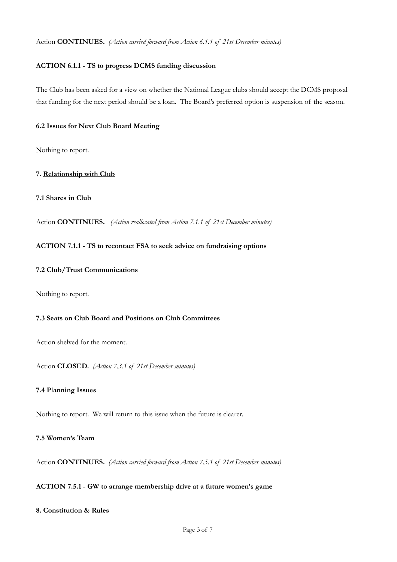#### Action **CONTINUES.** *(Action carried forward from Action 6.1.1 of 21st December minutes)*

### **ACTION 6.1.1 - TS to progress DCMS funding discussion**

The Club has been asked for a view on whether the National League clubs should accept the DCMS proposal that funding for the next period should be a loan. The Board's preferred option is suspension of the season.

#### **6.2 Issues for Next Club Board Meeting**

Nothing to report.

#### **7. Relationship with Club**

### **7.1 Shares in Club**

Action **CONTINUES.** *(Action reallocated from Action 7.1.1 of 21st December minutes)*

#### **ACTION 7.1.1 - TS to recontact FSA to seek advice on fundraising options**

#### **7.2 Club/Trust Communications**

Nothing to report.

### **7.3 Seats on Club Board and Positions on Club Committees**

Action shelved for the moment.

Action **CLOSED.** *(Action 7.3.1 of 21st December minutes)*

### **7.4 Planning Issues**

Nothing to report. We will return to this issue when the future is clearer.

### **7.5 Women's Team**

Action **CONTINUES.** *(Action carried forward from Action 7.5.1 of 21st December minutes)*

# **ACTION 7.5.1 - GW to arrange membership drive at a future women's game**

### **8. Constitution & Rules**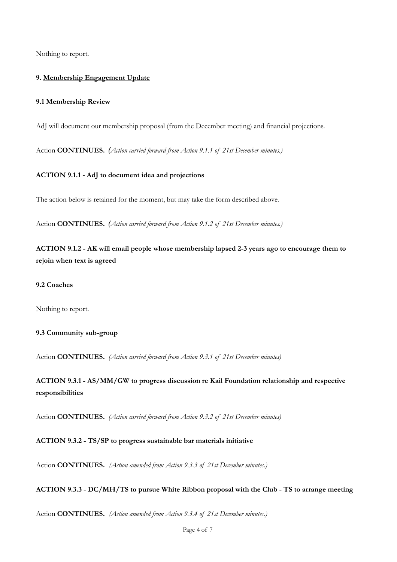Nothing to report.

### **9. Membership Engagement Update**

#### **9.1 Membership Review**

AdJ will document our membership proposal (from the December meeting) and financial projections.

Action **CONTINUES.** *(Action carried forward from Action 9.1.1 of 21st December minutes.)*

#### **ACTION 9.1.1 - AdJ to document idea and projections**

The action below is retained for the moment, but may take the form described above.

Action **CONTINUES.** *(Action carried forward from Action 9.1.2 of 21st December minutes.)*

**ACTION 9.1.2 - AK will email people whose membership lapsed 2-3 years ago to encourage them to rejoin when text is agreed**

### **9.2 Coaches**

Nothing to report.

#### **9.3 Community sub-group**

Action **CONTINUES.** *(Action carried forward from Action 9.3.1 of 21st December minutes)*

**ACTION 9.3.1 - AS/MM/GW to progress discussion re Kail Foundation relationship and respective responsibilities**

Action **CONTINUES.** *(Action carried forward from Action 9.3.2 of 21st December minutes)* 

#### **ACTION 9.3.2 - TS/SP to progress sustainable bar materials initiative**

Action **CONTINUES.** *(Action amended from Action 9.3.3 of 21st December minutes.)*

### **ACTION 9.3.3 - DC/MH/TS to pursue White Ribbon proposal with the Club - TS to arrange meeting**

Action **CONTINUES.** *(Action amended from Action 9.3.4 of 21st December minutes.)*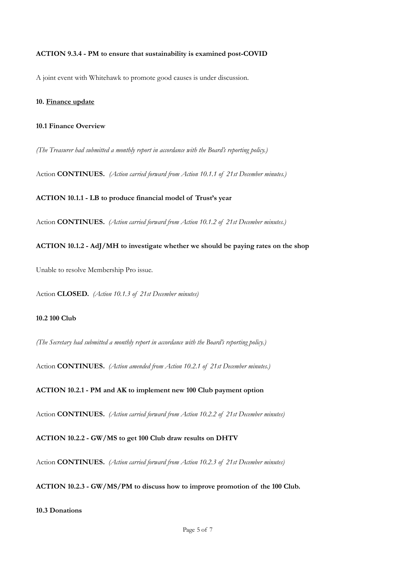### **ACTION 9.3.4 - PM to ensure that sustainability is examined post-COVID**

A joint event with Whitehawk to promote good causes is under discussion.

#### **10. Finance update**

#### **10.1 Finance Overview**

*(The Treasurer had submitted a monthly report in accordance with the Board's reporting policy.)*

Action **CONTINUES.** *(Action carried forward from Action 10.1.1 of 21st December minutes.)* 

#### **ACTION 10.1.1 - LB to produce financial model of Trust's year**

Action **CONTINUES.** *(Action carried forward from Action 10.1.2 of 21st December minutes.)* 

### **ACTION 10.1.2 - AdJ/MH to investigate whether we should be paying rates on the shop**

Unable to resolve Membership Pro issue.

Action **CLOSED.** *(Action 10.1.3 of 21st December minutes)*

### **10.2 100 Club**

*(The Secretary had submitted a monthly report in accordance with the Board's reporting policy.)*

Action **CONTINUES.** *(Action amended from Action 10.2.1 of 21st December minutes.)* 

### **ACTION 10.2.1 - PM and AK to implement new 100 Club payment option**

Action **CONTINUES.** *(Action carried forward from Action 10.2.2 of 21st December minutes)* 

#### **ACTION 10.2.2 - GW/MS to get 100 Club draw results on DHTV**

Action **CONTINUES.** *(Action carried forward from Action 10.2.3 of 21st December minutes)*

#### **ACTION 10.2.3 - GW/MS/PM to discuss how to improve promotion of the 100 Club.**

### **10.3 Donations**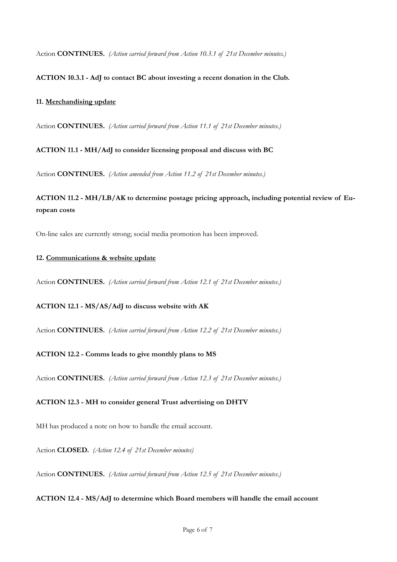Action **CONTINUES.** *(Action carried forward from Action 10.3.1 of 21st December minutes.)*

### **ACTION 10.3.1 - AdJ to contact BC about investing a recent donation in the Club.**

### **11. Merchandising update**

Action **CONTINUES.** *(Action carried forward from Action 11.1 of 21st December minutes.)*

**ACTION 11.1 - MH/AdJ to consider licensing proposal and discuss with BC**

Action **CONTINUES.** *(Action amended from Action 11.2 of 21st December minutes.)*

**ACTION 11.2 - MH/LB/AK to determine postage pricing approach, including potential review of European costs**

On-line sales are currently strong; social media promotion has been improved.

#### **12. Communications & website update**

Action **CONTINUES.** *(Action carried forward from Action 12.1 of 21st December minutes.)*

### **ACTION 12.1 - MS/AS/AdJ to discuss website with AK**

Action **CONTINUES.** *(Action carried forward from Action 12.2 of 21st December minutes.)*

### **ACTION 12.2 - Comms leads to give monthly plans to MS**

Action **CONTINUES.** *(Action carried forward from Action 12.3 of 21st December minutes.)*

### **ACTION 12.3 - MH to consider general Trust advertising on DHTV**

MH has produced a note on how to handle the email account.

Action **CLOSED.** *(Action 12.4 of 21st December minutes)*

Action **CONTINUES.** *(Action carried forward from Action 12.5 of 21st December minutes.)*

### **ACTION 12.4 - MS/AdJ to determine which Board members will handle the email account**